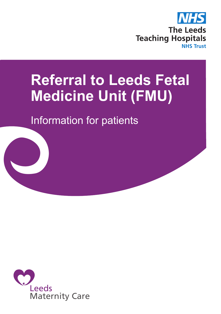

# **Referral to Leeds Fetal Medicine Unit (FMU)**

Information for patients



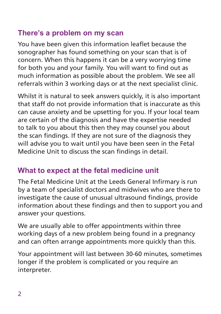## **There's a problem on my scan**

You have been given this information leaflet because the sonographer has found something on your scan that is of concern. When this happens it can be a very worrying time for both you and your family. You will want to find out as much information as possible about the problem. We see all referrals within 3 working days or at the next specialist clinic.

Whilst it is natural to seek answers quickly, it is also important that staff do not provide information that is inaccurate as this can cause anxiety and be upsetting for you. If your local team are certain of the diagnosis and have the expertise needed to talk to you about this then they may counsel you about the scan findings. If they are not sure of the diagnosis they will advise you to wait until you have been seen in the Fetal Medicine Unit to discuss the scan findings in detail.

# **What to expect at the fetal medicine unit**

The Fetal Medicine Unit at the Leeds General Infirmary is run by a team of specialist doctors and midwives who are there to investigate the cause of unusual ultrasound findings, provide information about these findings and then to support you and answer your questions.

We are usually able to offer appointments within three working days of a new problem being found in a pregnancy and can often arrange appointments more quickly than this.

Your appointment will last between 30-60 minutes, sometimes longer if the problem is complicated or you require an interpreter.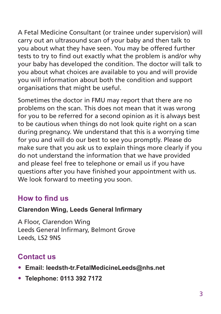A Fetal Medicine Consultant (or trainee under supervision) will carry out an ultrasound scan of your baby and then talk to you about what they have seen. You may be offered further tests to try to find out exactly what the problem is and/or why your baby has developed the condition. The doctor will talk to you about what choices are available to you and will provide you will information about both the condition and support organisations that might be useful.

Sometimes the doctor in FMU may report that there are no problems on the scan. This does not mean that it was wrong for you to be referred for a second opinion as it is always best to be cautious when things do not look quite right on a scan during pregnancy. We understand that this is a worrying time for you and will do our best to see you promptly. Please do make sure that you ask us to explain things more clearly if you do not understand the information that we have provided and please feel free to telephone or email us if you have questions after you have finished your appointment with us. We look forward to meeting you soon.

## **How to find us**

#### **Clarendon Wing, Leeds General Infirmary**

A Floor, Clarendon Wing Leeds General Infirmary, Belmont Grove Leeds, LS2 9NS

## **Contact us**

- **Email: leedsth-tr.FetalMedicineLeeds@nhs.net**
- **Telephone: 0113 392 7172**